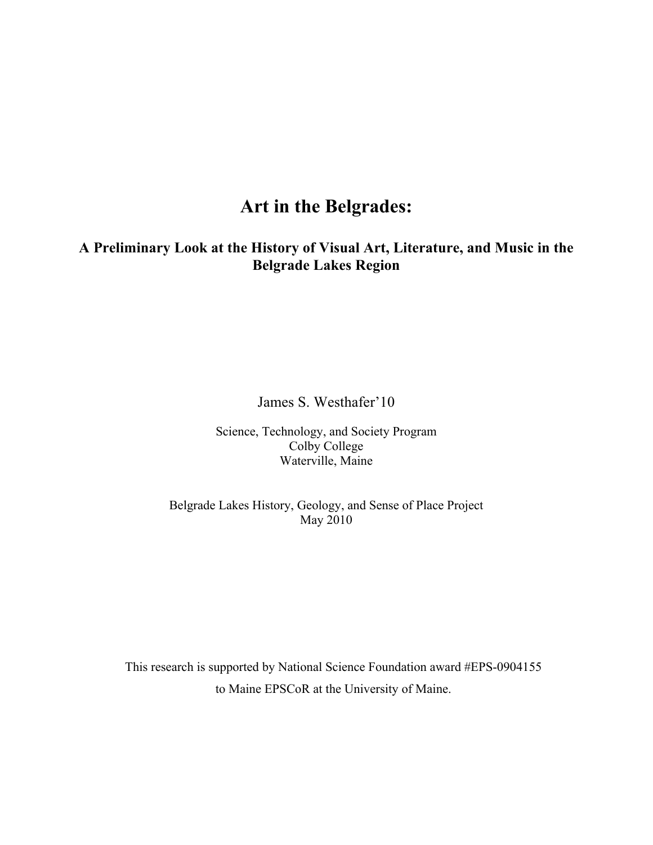## **Art in the Belgrades:**

## **A Preliminary Look at the History of Visual Art, Literature, and Music in the Belgrade Lakes Region**

James S. Westhafer'10

Science, Technology, and Society Program Colby College Waterville, Maine

Belgrade Lakes History, Geology, and Sense of Place Project May 2010

This research is supported by National Science Foundation award #EPS-0904155 to Maine EPSCoR at the University of Maine.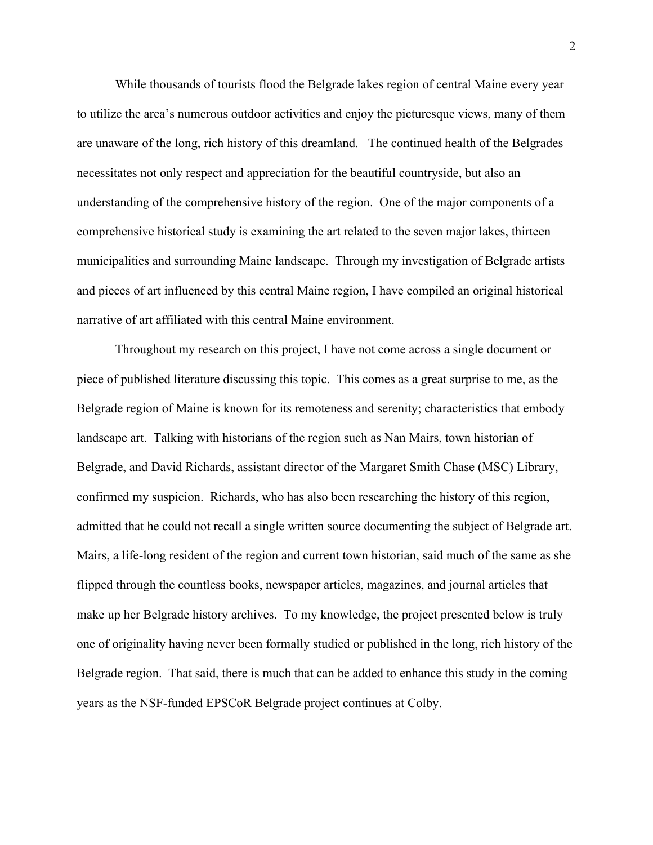While thousands of tourists flood the Belgrade lakes region of central Maine every year to utilize the area's numerous outdoor activities and enjoy the picturesque views, many of them are unaware of the long, rich history of this dreamland. The continued health of the Belgrades necessitates not only respect and appreciation for the beautiful countryside, but also an understanding of the comprehensive history of the region. One of the major components of a comprehensive historical study is examining the art related to the seven major lakes, thirteen municipalities and surrounding Maine landscape. Through my investigation of Belgrade artists and pieces of art influenced by this central Maine region, I have compiled an original historical narrative of art affiliated with this central Maine environment.

Throughout my research on this project, I have not come across a single document or piece of published literature discussing this topic. This comes as a great surprise to me, as the Belgrade region of Maine is known for its remoteness and serenity; characteristics that embody landscape art. Talking with historians of the region such as Nan Mairs, town historian of Belgrade, and David Richards, assistant director of the Margaret Smith Chase (MSC) Library, confirmed my suspicion. Richards, who has also been researching the history of this region, admitted that he could not recall a single written source documenting the subject of Belgrade art. Mairs, a life-long resident of the region and current town historian, said much of the same as she flipped through the countless books, newspaper articles, magazines, and journal articles that make up her Belgrade history archives. To my knowledge, the project presented below is truly one of originality having never been formally studied or published in the long, rich history of the Belgrade region. That said, there is much that can be added to enhance this study in the coming years as the NSF-funded EPSCoR Belgrade project continues at Colby.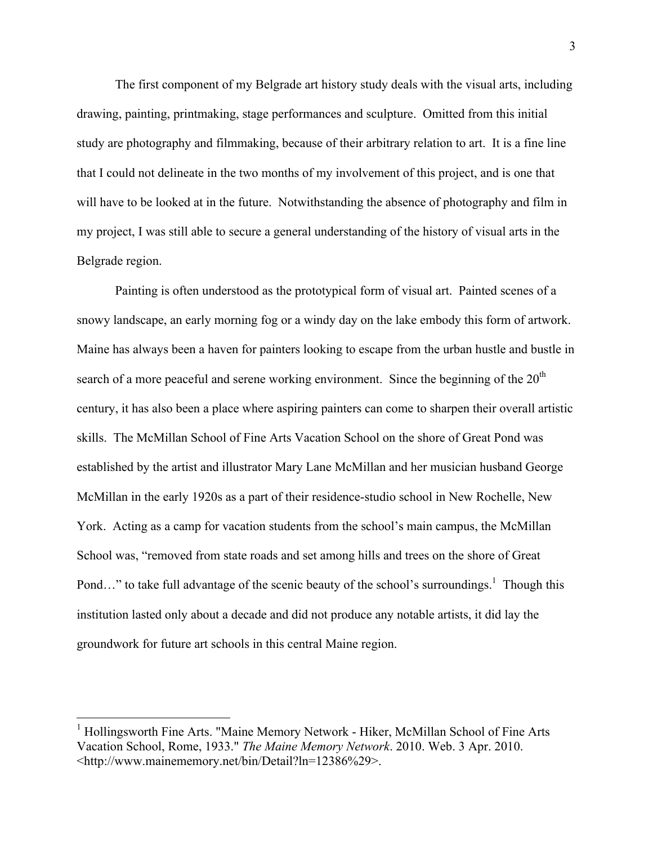The first component of my Belgrade art history study deals with the visual arts, including drawing, painting, printmaking, stage performances and sculpture. Omitted from this initial study are photography and filmmaking, because of their arbitrary relation to art. It is a fine line that I could not delineate in the two months of my involvement of this project, and is one that will have to be looked at in the future. Notwithstanding the absence of photography and film in my project, I was still able to secure a general understanding of the history of visual arts in the Belgrade region.

Painting is often understood as the prototypical form of visual art. Painted scenes of a snowy landscape, an early morning fog or a windy day on the lake embody this form of artwork. Maine has always been a haven for painters looking to escape from the urban hustle and bustle in search of a more peaceful and serene working environment. Since the beginning of the  $20<sup>th</sup>$ century, it has also been a place where aspiring painters can come to sharpen their overall artistic skills. The McMillan School of Fine Arts Vacation School on the shore of Great Pond was established by the artist and illustrator Mary Lane McMillan and her musician husband George McMillan in the early 1920s as a part of their residence-studio school in New Rochelle, New York. Acting as a camp for vacation students from the school's main campus, the McMillan School was, "removed from state roads and set among hills and trees on the shore of Great Pond..." to take full advantage of the scenic beauty of the school's surroundings.<sup>1</sup> Though this institution lasted only about a decade and did not produce any notable artists, it did lay the groundwork for future art schools in this central Maine region.

 <sup>1</sup> Hollingsworth Fine Arts. "Maine Memory Network - Hiker, McMillan School of Fine Arts Vacation School, Rome, 1933." *The Maine Memory Network*. 2010. Web. 3 Apr. 2010. <http://www.mainememory.net/bin/Detail?ln=12386%29>.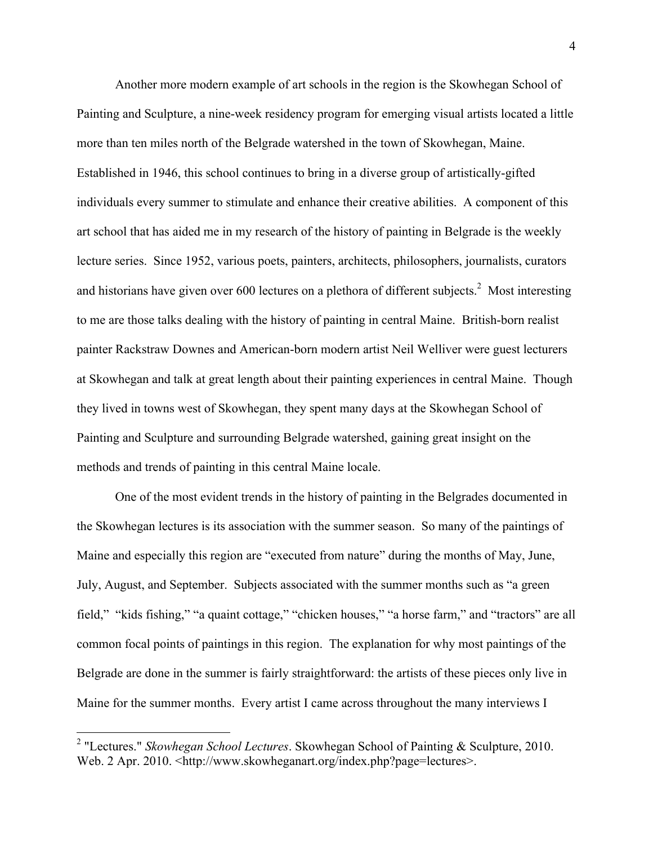Another more modern example of art schools in the region is the Skowhegan School of Painting and Sculpture, a nine-week residency program for emerging visual artists located a little more than ten miles north of the Belgrade watershed in the town of Skowhegan, Maine. Established in 1946, this school continues to bring in a diverse group of artistically-gifted individuals every summer to stimulate and enhance their creative abilities. A component of this art school that has aided me in my research of the history of painting in Belgrade is the weekly lecture series. Since 1952, various poets, painters, architects, philosophers, journalists, curators and historians have given over 600 lectures on a plethora of different subjects.<sup>2</sup> Most interesting to me are those talks dealing with the history of painting in central Maine. British-born realist painter Rackstraw Downes and American-born modern artist Neil Welliver were guest lecturers at Skowhegan and talk at great length about their painting experiences in central Maine. Though they lived in towns west of Skowhegan, they spent many days at the Skowhegan School of Painting and Sculpture and surrounding Belgrade watershed, gaining great insight on the methods and trends of painting in this central Maine locale.

One of the most evident trends in the history of painting in the Belgrades documented in the Skowhegan lectures is its association with the summer season. So many of the paintings of Maine and especially this region are "executed from nature" during the months of May, June, July, August, and September. Subjects associated with the summer months such as "a green field," "kids fishing," "a quaint cottage," "chicken houses," "a horse farm," and "tractors" are all common focal points of paintings in this region. The explanation for why most paintings of the Belgrade are done in the summer is fairly straightforward: the artists of these pieces only live in Maine for the summer months. Every artist I came across throughout the many interviews I

 <sup>2</sup> "Lectures." *Skowhegan School Lectures*. Skowhegan School of Painting & Sculpture, 2010. Web. 2 Apr. 2010. <http://www.skowheganart.org/index.php?page=lectures>.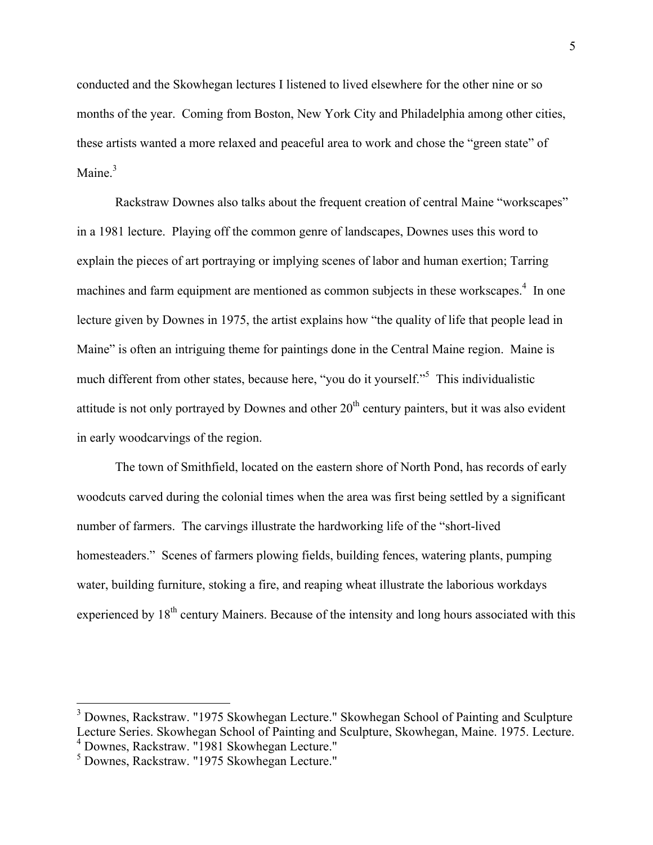conducted and the Skowhegan lectures I listened to lived elsewhere for the other nine or so months of the year. Coming from Boston, New York City and Philadelphia among other cities, these artists wanted a more relaxed and peaceful area to work and chose the "green state" of Maine $<sup>3</sup>$ </sup>

Rackstraw Downes also talks about the frequent creation of central Maine "workscapes" in a 1981 lecture. Playing off the common genre of landscapes, Downes uses this word to explain the pieces of art portraying or implying scenes of labor and human exertion; Tarring machines and farm equipment are mentioned as common subjects in these workscapes.<sup>4</sup> In one lecture given by Downes in 1975, the artist explains how "the quality of life that people lead in Maine" is often an intriguing theme for paintings done in the Central Maine region. Maine is much different from other states, because here, "you do it yourself."<sup>5</sup> This individualistic attitude is not only portrayed by Downes and other  $20<sup>th</sup>$  century painters, but it was also evident in early woodcarvings of the region.

The town of Smithfield, located on the eastern shore of North Pond, has records of early woodcuts carved during the colonial times when the area was first being settled by a significant number of farmers. The carvings illustrate the hardworking life of the "short-lived homesteaders." Scenes of farmers plowing fields, building fences, watering plants, pumping water, building furniture, stoking a fire, and reaping wheat illustrate the laborious workdays experienced by 18<sup>th</sup> century Mainers. Because of the intensity and long hours associated with this

<sup>&</sup>lt;sup>3</sup> Downes, Rackstraw. "1975 Skowhegan Lecture." Skowhegan School of Painting and Sculpture Lecture Series. Skowhegan School of Painting and Sculpture, Skowhegan, Maine. 1975. Lecture. <sup>4</sup> Downes, Rackstraw. "1981 Skowhegan Lecture."

<sup>5</sup> Downes, Rackstraw. "1975 Skowhegan Lecture."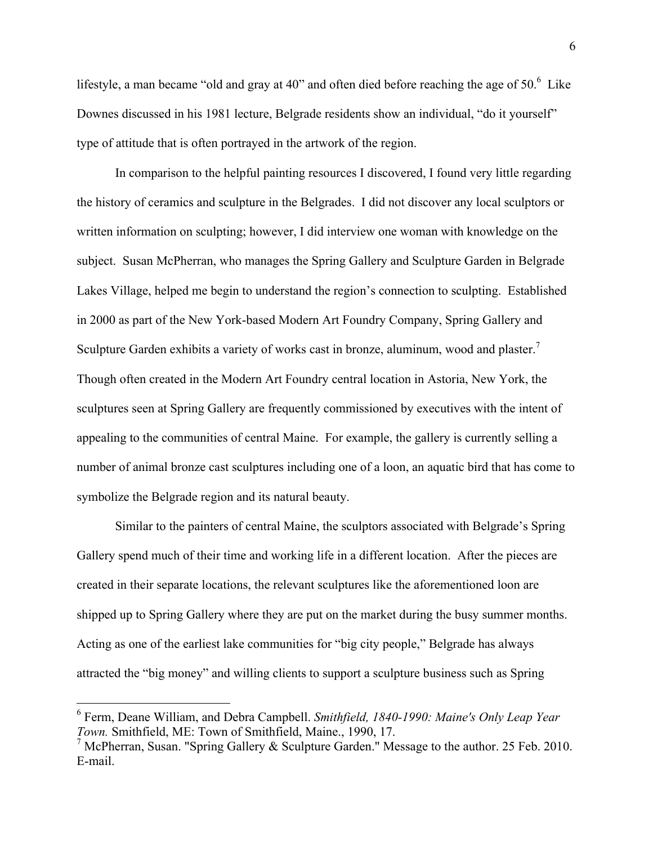lifestyle, a man became "old and gray at 40" and often died before reaching the age of  $50<sup>6</sup>$  Like Downes discussed in his 1981 lecture, Belgrade residents show an individual, "do it yourself" type of attitude that is often portrayed in the artwork of the region.

In comparison to the helpful painting resources I discovered, I found very little regarding the history of ceramics and sculpture in the Belgrades. I did not discover any local sculptors or written information on sculpting; however, I did interview one woman with knowledge on the subject. Susan McPherran, who manages the Spring Gallery and Sculpture Garden in Belgrade Lakes Village, helped me begin to understand the region's connection to sculpting. Established in 2000 as part of the New York-based Modern Art Foundry Company, Spring Gallery and Sculpture Garden exhibits a variety of works cast in bronze, aluminum, wood and plaster.<sup>7</sup> Though often created in the Modern Art Foundry central location in Astoria, New York, the sculptures seen at Spring Gallery are frequently commissioned by executives with the intent of appealing to the communities of central Maine. For example, the gallery is currently selling a number of animal bronze cast sculptures including one of a loon, an aquatic bird that has come to symbolize the Belgrade region and its natural beauty.

Similar to the painters of central Maine, the sculptors associated with Belgrade's Spring Gallery spend much of their time and working life in a different location. After the pieces are created in their separate locations, the relevant sculptures like the aforementioned loon are shipped up to Spring Gallery where they are put on the market during the busy summer months. Acting as one of the earliest lake communities for "big city people," Belgrade has always attracted the "big money" and willing clients to support a sculpture business such as Spring

 <sup>6</sup> Ferm, Deane William, and Debra Campbell. *Smithfield, 1840-1990: Maine's Only Leap Year Town.* Smithfield, ME: Town of Smithfield, Maine., 1990, 17.

<sup>&</sup>lt;sup>7</sup> McPherran, Susan. "Spring Gallery & Sculpture Garden." Message to the author. 25 Feb. 2010. E-mail.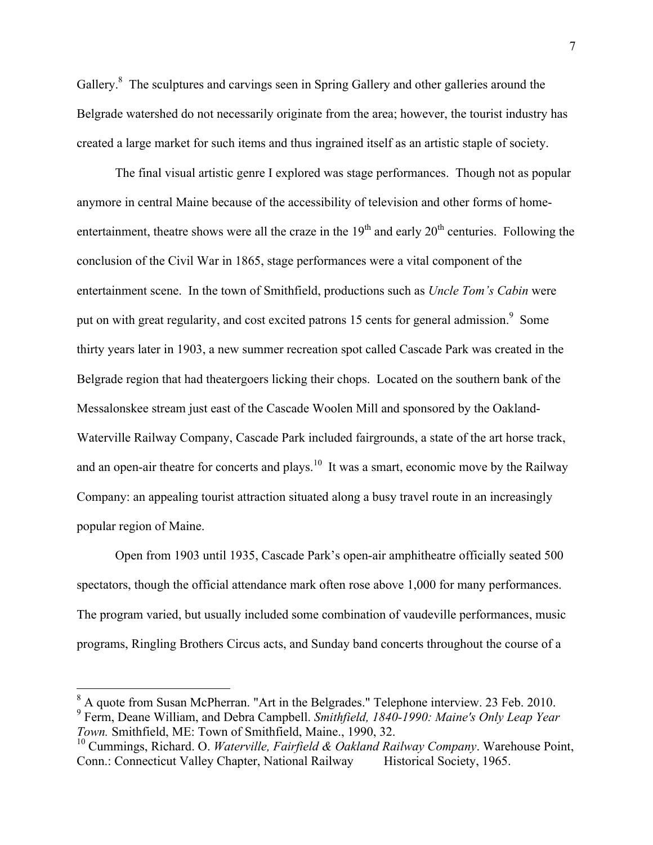Gallery.<sup>8</sup> The sculptures and carvings seen in Spring Gallery and other galleries around the Belgrade watershed do not necessarily originate from the area; however, the tourist industry has created a large market for such items and thus ingrained itself as an artistic staple of society.

The final visual artistic genre I explored was stage performances. Though not as popular anymore in central Maine because of the accessibility of television and other forms of homeentertainment, theatre shows were all the craze in the  $19<sup>th</sup>$  and early  $20<sup>th</sup>$  centuries. Following the conclusion of the Civil War in 1865, stage performances were a vital component of the entertainment scene. In the town of Smithfield, productions such as *Uncle Tom's Cabin* were put on with great regularity, and cost excited patrons 15 cents for general admission.<sup>9</sup> Some thirty years later in 1903, a new summer recreation spot called Cascade Park was created in the Belgrade region that had theatergoers licking their chops. Located on the southern bank of the Messalonskee stream just east of the Cascade Woolen Mill and sponsored by the Oakland-Waterville Railway Company, Cascade Park included fairgrounds, a state of the art horse track, and an open-air theatre for concerts and plays.<sup>10</sup> It was a smart, economic move by the Railway Company: an appealing tourist attraction situated along a busy travel route in an increasingly popular region of Maine.

Open from 1903 until 1935, Cascade Park's open-air amphitheatre officially seated 500 spectators, though the official attendance mark often rose above 1,000 for many performances. The program varied, but usually included some combination of vaudeville performances, music programs, Ringling Brothers Circus acts, and Sunday band concerts throughout the course of a

<sup>&</sup>lt;sup>8</sup> A quote from Susan McPherran. "Art in the Belgrades." Telephone interview. 23 Feb. 2010. <sup>9</sup> Ferm, Deane William, and Debra Campbell. *Smithfield, 1840-1990: Maine's Only Leap Year Town.* Smithfield, ME: Town of Smithfield, Maine., 1990, 32.

<sup>10</sup> Cummings, Richard. O. *Waterville, Fairfield & Oakland Railway Company*. Warehouse Point, Conn.: Connecticut Valley Chapter, National Railway Historical Society, 1965.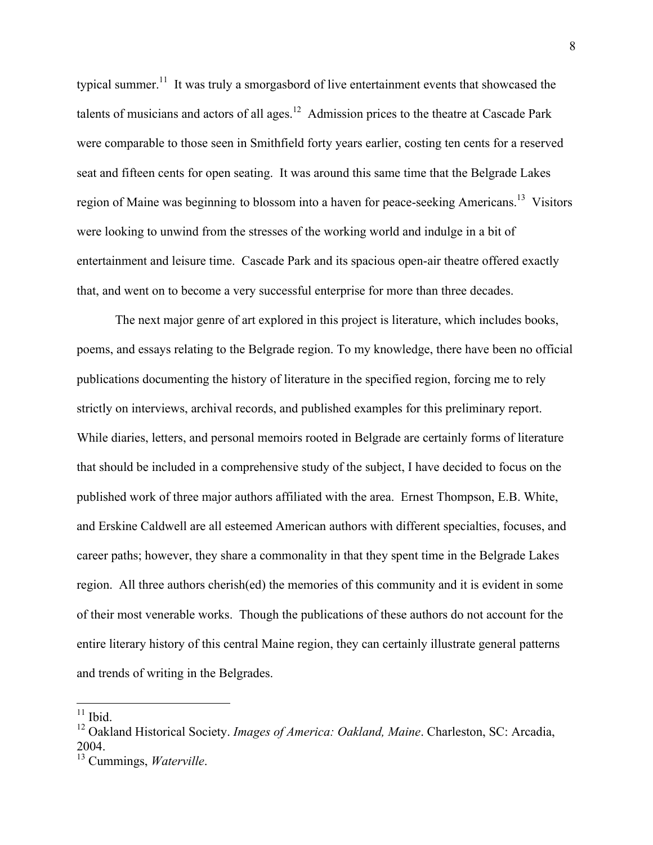typical summer.<sup>11</sup> It was truly a smorgasbord of live entertainment events that showcased the talents of musicians and actors of all ages.<sup>12</sup> Admission prices to the theatre at Cascade Park were comparable to those seen in Smithfield forty years earlier, costing ten cents for a reserved seat and fifteen cents for open seating. It was around this same time that the Belgrade Lakes region of Maine was beginning to blossom into a haven for peace-seeking Americans.<sup>13</sup> Visitors were looking to unwind from the stresses of the working world and indulge in a bit of entertainment and leisure time. Cascade Park and its spacious open-air theatre offered exactly that, and went on to become a very successful enterprise for more than three decades.

The next major genre of art explored in this project is literature, which includes books, poems, and essays relating to the Belgrade region. To my knowledge, there have been no official publications documenting the history of literature in the specified region, forcing me to rely strictly on interviews, archival records, and published examples for this preliminary report. While diaries, letters, and personal memoirs rooted in Belgrade are certainly forms of literature that should be included in a comprehensive study of the subject, I have decided to focus on the published work of three major authors affiliated with the area. Ernest Thompson, E.B. White, and Erskine Caldwell are all esteemed American authors with different specialties, focuses, and career paths; however, they share a commonality in that they spent time in the Belgrade Lakes region. All three authors cherish(ed) the memories of this community and it is evident in some of their most venerable works. Though the publications of these authors do not account for the entire literary history of this central Maine region, they can certainly illustrate general patterns and trends of writing in the Belgrades.

 $11$  Ibid.

<sup>12</sup> Oakland Historical Society. *Images of America: Oakland, Maine*. Charleston, SC: Arcadia, 2004.

<sup>13</sup> Cummings, *Waterville*.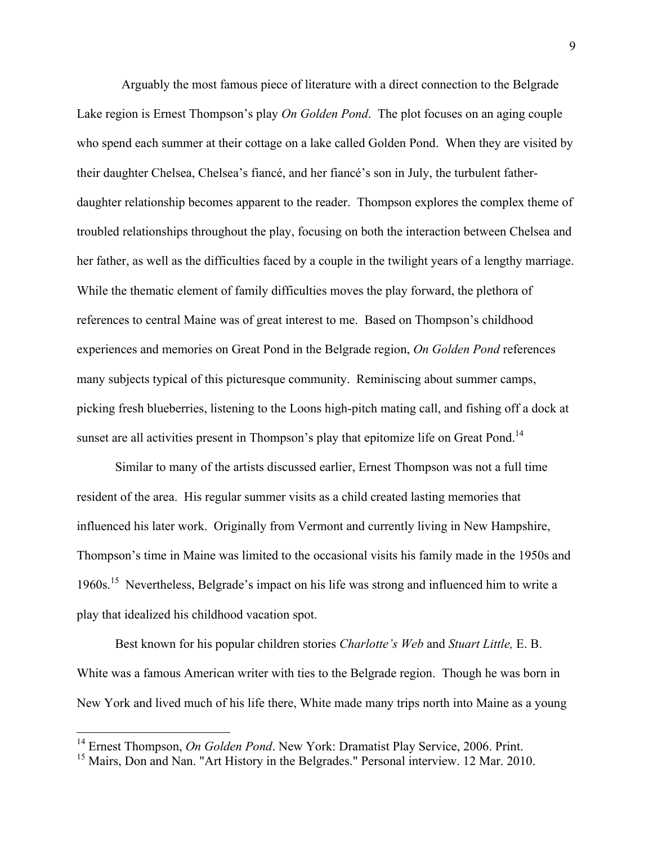Arguably the most famous piece of literature with a direct connection to the Belgrade Lake region is Ernest Thompson's play *On Golden Pond*. The plot focuses on an aging couple who spend each summer at their cottage on a lake called Golden Pond. When they are visited by their daughter Chelsea, Chelsea's fiancé, and her fiancé's son in July, the turbulent fatherdaughter relationship becomes apparent to the reader. Thompson explores the complex theme of troubled relationships throughout the play, focusing on both the interaction between Chelsea and her father, as well as the difficulties faced by a couple in the twilight years of a lengthy marriage. While the thematic element of family difficulties moves the play forward, the plethora of references to central Maine was of great interest to me. Based on Thompson's childhood experiences and memories on Great Pond in the Belgrade region, *On Golden Pond* references many subjects typical of this picturesque community. Reminiscing about summer camps, picking fresh blueberries, listening to the Loons high-pitch mating call, and fishing off a dock at sunset are all activities present in Thompson's play that epitomize life on Great Pond.<sup>14</sup>

Similar to many of the artists discussed earlier, Ernest Thompson was not a full time resident of the area. His regular summer visits as a child created lasting memories that influenced his later work. Originally from Vermont and currently living in New Hampshire, Thompson's time in Maine was limited to the occasional visits his family made in the 1950s and 1960s.15 Nevertheless, Belgrade's impact on his life was strong and influenced him to write a play that idealized his childhood vacation spot.

Best known for his popular children stories *Charlotte's Web* and *Stuart Little,* E. B. White was a famous American writer with ties to the Belgrade region. Though he was born in New York and lived much of his life there, White made many trips north into Maine as a young

<sup>&</sup>lt;sup>14</sup> Ernest Thompson, *On Golden Pond*. New York: Dramatist Play Service, 2006. Print.

<sup>&</sup>lt;sup>15</sup> Mairs, Don and Nan. "Art History in the Belgrades." Personal interview. 12 Mar. 2010.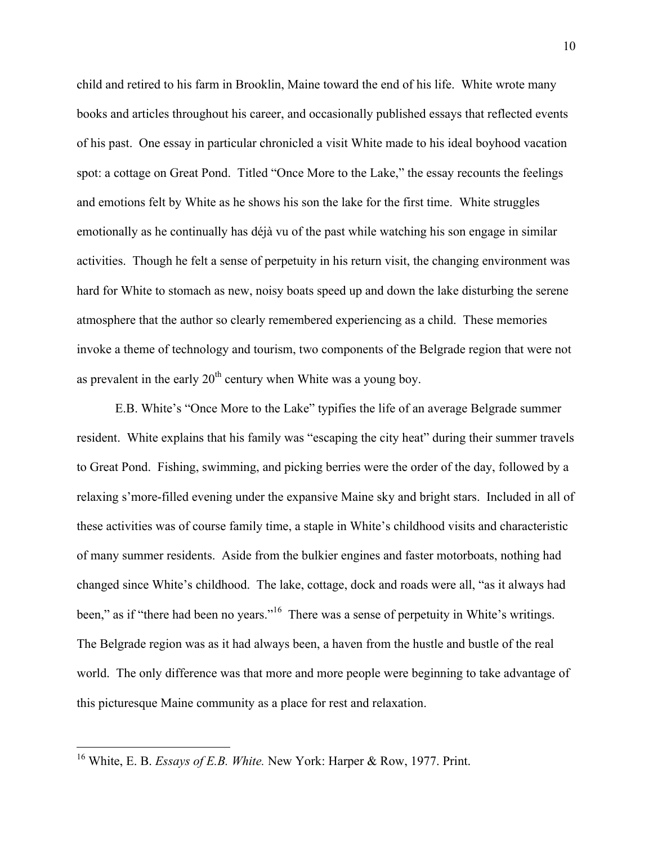child and retired to his farm in Brooklin, Maine toward the end of his life. White wrote many books and articles throughout his career, and occasionally published essays that reflected events of his past. One essay in particular chronicled a visit White made to his ideal boyhood vacation spot: a cottage on Great Pond. Titled "Once More to the Lake," the essay recounts the feelings and emotions felt by White as he shows his son the lake for the first time. White struggles emotionally as he continually has déjà vu of the past while watching his son engage in similar activities. Though he felt a sense of perpetuity in his return visit, the changing environment was hard for White to stomach as new, noisy boats speed up and down the lake disturbing the serene atmosphere that the author so clearly remembered experiencing as a child. These memories invoke a theme of technology and tourism, two components of the Belgrade region that were not as prevalent in the early  $20<sup>th</sup>$  century when White was a young boy.

E.B. White's "Once More to the Lake" typifies the life of an average Belgrade summer resident. White explains that his family was "escaping the city heat" during their summer travels to Great Pond. Fishing, swimming, and picking berries were the order of the day, followed by a relaxing s'more-filled evening under the expansive Maine sky and bright stars. Included in all of these activities was of course family time, a staple in White's childhood visits and characteristic of many summer residents. Aside from the bulkier engines and faster motorboats, nothing had changed since White's childhood. The lake, cottage, dock and roads were all, "as it always had been," as if "there had been no years."<sup>16</sup> There was a sense of perpetuity in White's writings. The Belgrade region was as it had always been, a haven from the hustle and bustle of the real world. The only difference was that more and more people were beginning to take advantage of this picturesque Maine community as a place for rest and relaxation.

 <sup>16</sup> White, E. B. *Essays of E.B. White.* New York: Harper & Row, 1977. Print.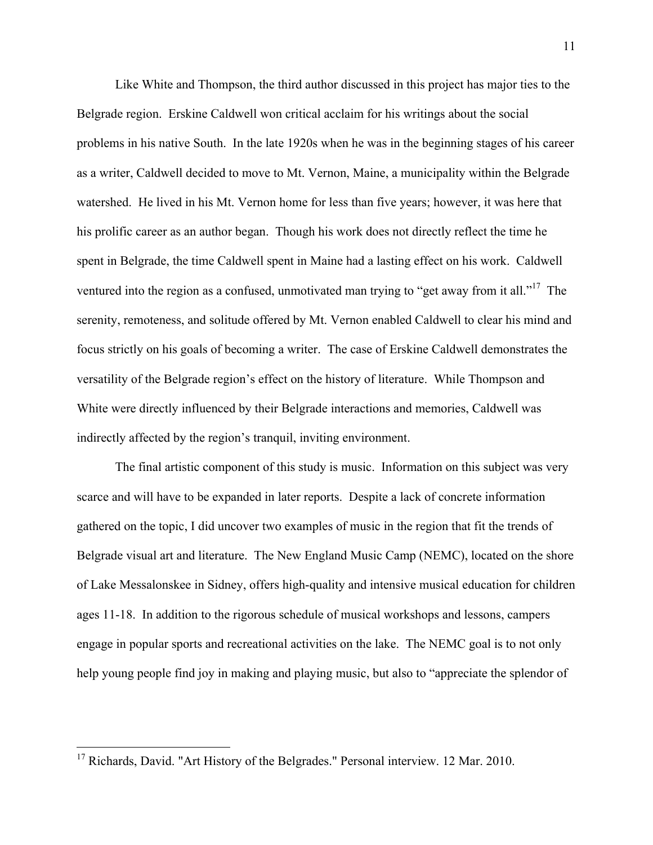Like White and Thompson, the third author discussed in this project has major ties to the Belgrade region. Erskine Caldwell won critical acclaim for his writings about the social problems in his native South. In the late 1920s when he was in the beginning stages of his career as a writer, Caldwell decided to move to Mt. Vernon, Maine, a municipality within the Belgrade watershed. He lived in his Mt. Vernon home for less than five years; however, it was here that his prolific career as an author began. Though his work does not directly reflect the time he spent in Belgrade, the time Caldwell spent in Maine had a lasting effect on his work. Caldwell ventured into the region as a confused, unmotivated man trying to "get away from it all."<sup>17</sup> The serenity, remoteness, and solitude offered by Mt. Vernon enabled Caldwell to clear his mind and focus strictly on his goals of becoming a writer. The case of Erskine Caldwell demonstrates the versatility of the Belgrade region's effect on the history of literature. While Thompson and White were directly influenced by their Belgrade interactions and memories, Caldwell was indirectly affected by the region's tranquil, inviting environment.

The final artistic component of this study is music. Information on this subject was very scarce and will have to be expanded in later reports. Despite a lack of concrete information gathered on the topic, I did uncover two examples of music in the region that fit the trends of Belgrade visual art and literature. The New England Music Camp (NEMC), located on the shore of Lake Messalonskee in Sidney, offers high-quality and intensive musical education for children ages 11-18. In addition to the rigorous schedule of musical workshops and lessons, campers engage in popular sports and recreational activities on the lake. The NEMC goal is to not only help young people find joy in making and playing music, but also to "appreciate the splendor of

 $17$  Richards, David. "Art History of the Belgrades." Personal interview. 12 Mar. 2010.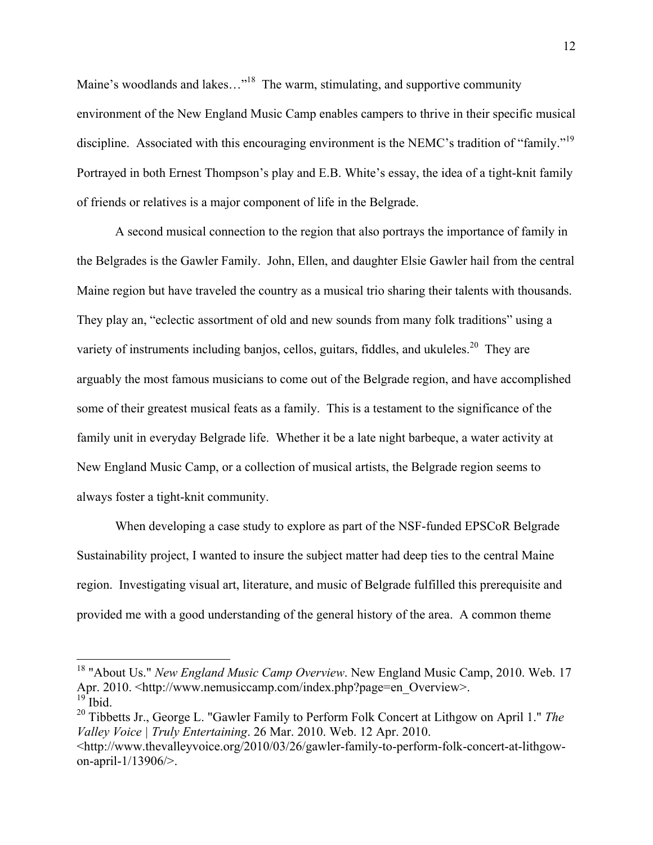Maine's woodlands and lakes..."<sup>18</sup> The warm, stimulating, and supportive community environment of the New England Music Camp enables campers to thrive in their specific musical discipline. Associated with this encouraging environment is the NEMC's tradition of "family."<sup>19</sup> Portrayed in both Ernest Thompson's play and E.B. White's essay, the idea of a tight-knit family of friends or relatives is a major component of life in the Belgrade.

A second musical connection to the region that also portrays the importance of family in the Belgrades is the Gawler Family. John, Ellen, and daughter Elsie Gawler hail from the central Maine region but have traveled the country as a musical trio sharing their talents with thousands. They play an, "eclectic assortment of old and new sounds from many folk traditions" using a variety of instruments including banjos, cellos, guitars, fiddles, and ukuleles.<sup>20</sup> They are arguably the most famous musicians to come out of the Belgrade region, and have accomplished some of their greatest musical feats as a family. This is a testament to the significance of the family unit in everyday Belgrade life. Whether it be a late night barbeque, a water activity at New England Music Camp, or a collection of musical artists, the Belgrade region seems to always foster a tight-knit community.

When developing a case study to explore as part of the NSF-funded EPSCoR Belgrade Sustainability project, I wanted to insure the subject matter had deep ties to the central Maine region. Investigating visual art, literature, and music of Belgrade fulfilled this prerequisite and provided me with a good understanding of the general history of the area. A common theme

 <sup>18</sup> "About Us." *New England Music Camp Overview*. New England Music Camp, 2010. Web. 17 Apr. 2010. <http://www.nemusiccamp.com/index.php?page=en\_Overview>.  $19$  Ibid.

<sup>20</sup> Tibbetts Jr., George L. "Gawler Family to Perform Folk Concert at Lithgow on April 1." *The Valley Voice | Truly Entertaining*. 26 Mar. 2010. Web. 12 Apr. 2010.

<sup>&</sup>lt;http://www.thevalleyvoice.org/2010/03/26/gawler-family-to-perform-folk-concert-at-lithgowon-april-1/13906/>.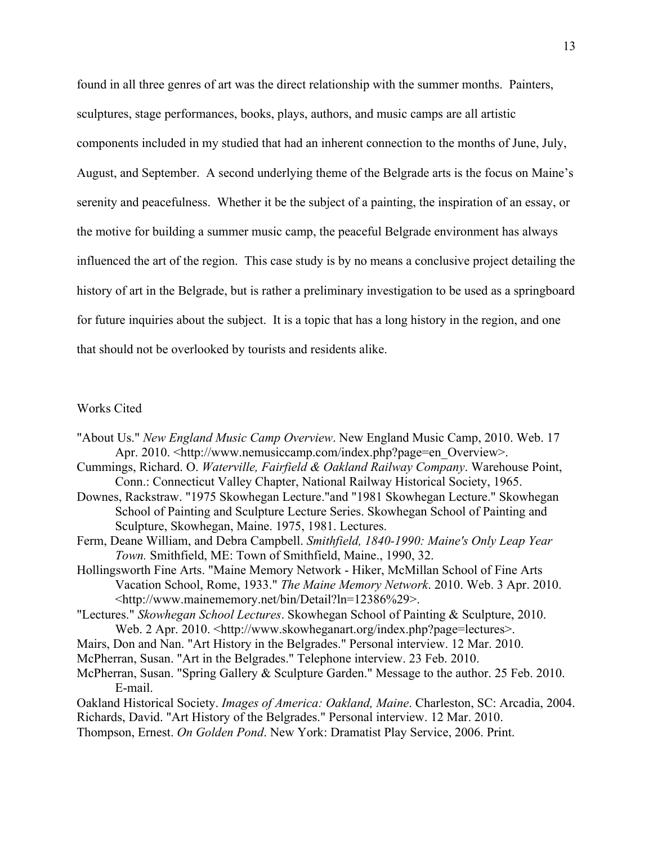found in all three genres of art was the direct relationship with the summer months. Painters, sculptures, stage performances, books, plays, authors, and music camps are all artistic components included in my studied that had an inherent connection to the months of June, July, August, and September. A second underlying theme of the Belgrade arts is the focus on Maine's serenity and peacefulness. Whether it be the subject of a painting, the inspiration of an essay, or the motive for building a summer music camp, the peaceful Belgrade environment has always influenced the art of the region. This case study is by no means a conclusive project detailing the history of art in the Belgrade, but is rather a preliminary investigation to be used as a springboard for future inquiries about the subject. It is a topic that has a long history in the region, and one that should not be overlooked by tourists and residents alike.

## Works Cited

- "About Us." *New England Music Camp Overview*. New England Music Camp, 2010. Web. 17 Apr. 2010. <http://www.nemusiccamp.com/index.php?page=en\_Overview>.
- Cummings, Richard. O. *Waterville, Fairfield & Oakland Railway Company*. Warehouse Point, Conn.: Connecticut Valley Chapter, National Railway Historical Society, 1965.
- Downes, Rackstraw. "1975 Skowhegan Lecture."and "1981 Skowhegan Lecture." Skowhegan School of Painting and Sculpture Lecture Series. Skowhegan School of Painting and Sculpture, Skowhegan, Maine. 1975, 1981. Lectures.
- Ferm, Deane William, and Debra Campbell. *Smithfield, 1840-1990: Maine's Only Leap Year Town.* Smithfield, ME: Town of Smithfield, Maine., 1990, 32.
- Hollingsworth Fine Arts. "Maine Memory Network Hiker, McMillan School of Fine Arts Vacation School, Rome, 1933." *The Maine Memory Network*. 2010. Web. 3 Apr. 2010. <http://www.mainememory.net/bin/Detail?ln=12386%29>.
- "Lectures." *Skowhegan School Lectures*. Skowhegan School of Painting & Sculpture, 2010. Web. 2 Apr. 2010. <http://www.skowheganart.org/index.php?page=lectures>.
- Mairs, Don and Nan. "Art History in the Belgrades." Personal interview. 12 Mar. 2010.
- McPherran, Susan. "Art in the Belgrades." Telephone interview. 23 Feb. 2010.
- McPherran, Susan. "Spring Gallery & Sculpture Garden." Message to the author. 25 Feb. 2010. E-mail.
- Oakland Historical Society. *Images of America: Oakland, Maine*. Charleston, SC: Arcadia, 2004. Richards, David. "Art History of the Belgrades." Personal interview. 12 Mar. 2010.
- Thompson, Ernest. *On Golden Pond*. New York: Dramatist Play Service, 2006. Print.